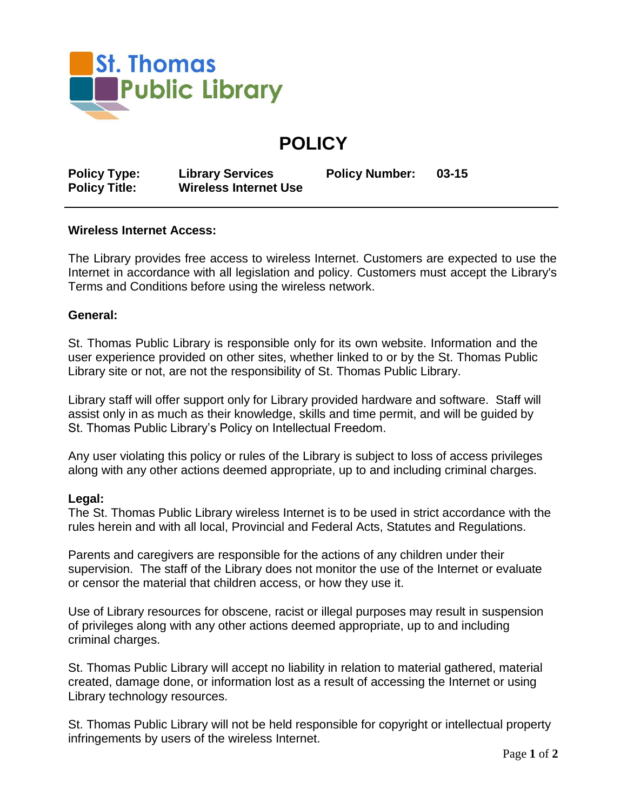

**POLICY**

**Policy Type: Library Services Policy Number: 03-15**

## **Policy Title: Wireless Internet Use**

## **Wireless Internet Access:**

The Library provides free access to wireless Internet. Customers are expected to use the Internet in accordance with all legislation and policy. Customers must accept the Library's Terms and Conditions before using the wireless network.

## **General:**

St. Thomas Public Library is responsible only for its own website. Information and the user experience provided on other sites, whether linked to or by the St. Thomas Public Library site or not, are not the responsibility of St. Thomas Public Library.

Library staff will offer support only for Library provided hardware and software. Staff will assist only in as much as their knowledge, skills and time permit, and will be guided by St. Thomas Public Library's Policy on Intellectual Freedom.

Any user violating this policy or rules of the Library is subject to loss of access privileges along with any other actions deemed appropriate, up to and including criminal charges.

## **Legal:**

The St. Thomas Public Library wireless Internet is to be used in strict accordance with the rules herein and with all local, Provincial and Federal Acts, Statutes and Regulations.

Parents and caregivers are responsible for the actions of any children under their supervision. The staff of the Library does not monitor the use of the Internet or evaluate or censor the material that children access, or how they use it.

Use of Library resources for obscene, racist or illegal purposes may result in suspension of privileges along with any other actions deemed appropriate, up to and including criminal charges.

St. Thomas Public Library will accept no liability in relation to material gathered, material created, damage done, or information lost as a result of accessing the Internet or using Library technology resources.

St. Thomas Public Library will not be held responsible for copyright or intellectual property infringements by users of the wireless Internet.